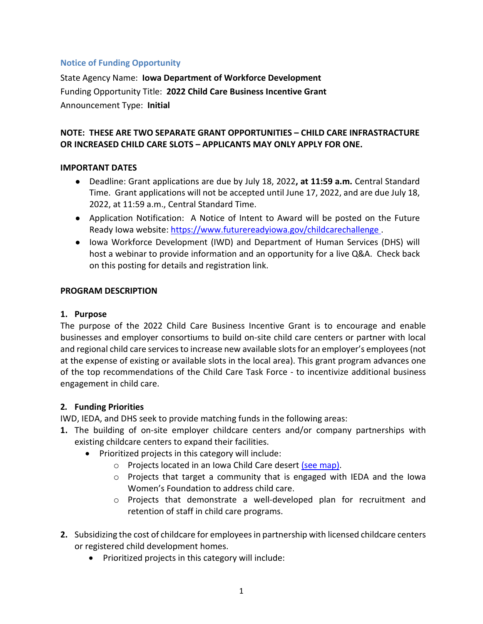### **Notice of Funding Opportunity**

State Agency Name: **Iowa Department of Workforce Development** Funding Opportunity Title: **2022 Child Care Business Incentive Grant** Announcement Type: **Initial**

### **NOTE: THESE ARE TWO SEPARATE GRANT OPPORTUNITIES – CHILD CARE INFRASTRACTURE OR INCREASED CHILD CARE SLOTS – APPLICANTS MAY ONLY APPLY FOR ONE.**

### **IMPORTANT DATES**

- Deadline: Grant applications are due by July 18, 2022**, at 11:59 a.m.** Central Standard Time. Grant applications will not be accepted until June 17, 2022, and are due July 18, 2022, at 11:59 a.m., Central Standard Time.
- Application Notification: A Notice of Intent to Award will be posted on the Future Ready Iowa website:<https://www.futurereadyiowa.gov/childcarechallenge>.
- Iowa Workforce Development (IWD) and Department of Human Services (DHS) will host a webinar to provide information and an opportunity for a live Q&A. Check back on this posting for details and registration link.

### **PROGRAM DESCRIPTION**

### **1. Purpose**

The purpose of the 2022 Child Care Business Incentive Grant is to encourage and enable businesses and employer consortiums to build on-site child care centers or partner with local and regional child care services to increase new available slots for an employer's employees(not at the expense of existing or available slots in the local area). This grant program advances one of the top recommendations of the Child Care Task Force - to incentivize additional business engagement in child care.

# **2. Funding Priorities**

IWD, IEDA, and DHS seek to provide matching funds in the following areas:

- **1.** The building of on-site employer childcare centers and/or company partnerships with existing childcare centers to expand their facilities.
	- Prioritized projects in this category will include:
		- o Projects located in an Iowa Child Care desert [\(see map\).](https://www.futurereadyiowa.gov/sites/fri/files/basic_page_files/Child%20Care%20Dessert%20with%20Child%20Care%20Awards%202021%20%26%202022%20%28Updated%2002-11-22%29.pdf)
			- o Projects that target a community that is engaged with IEDA and the Iowa Women's Foundation to address child care.
			- o Projects that demonstrate a well-developed plan for recruitment and retention of staff in child care programs.
- **2.** Subsidizing the cost of childcare for employees in partnership with licensed childcare centers or registered child development homes.
	- Prioritized projects in this category will include: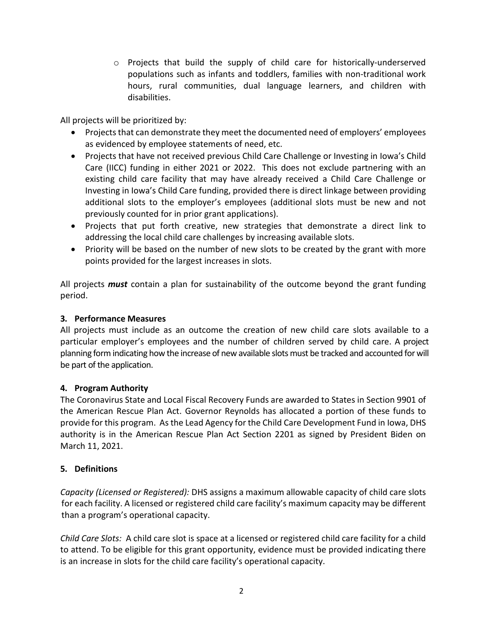o Projects that build the supply of child care for historically-underserved populations such as infants and toddlers, families with non-traditional work hours, rural communities, dual language learners, and children with disabilities.

All projects will be prioritized by:

- Projects that can demonstrate they meet the documented need of employers' employees as evidenced by employee statements of need, etc.
- Projects that have not received previous Child Care Challenge or Investing in Iowa's Child Care (IICC) funding in either 2021 or 2022. This does not exclude partnering with an existing child care facility that may have already received a Child Care Challenge or Investing in Iowa's Child Care funding, provided there is direct linkage between providing additional slots to the employer's employees (additional slots must be new and not previously counted for in prior grant applications).
- Projects that put forth creative, new strategies that demonstrate a direct link to addressing the local child care challenges by increasing available slots.
- Priority will be based on the number of new slots to be created by the grant with more points provided for the largest increases in slots.

All projects *must* contain a plan for sustainability of the outcome beyond the grant funding period.

# **3. Performance Measures**

All projects must include as an outcome the creation of new child care slots available to a particular employer's employees and the number of children served by child care. A project planning form indicating how the increase of new available slots must be tracked and accounted for will be part of the application.

# **4. Program Authority**

The Coronavirus State and Local Fiscal Recovery Funds are awarded to States in Section 9901 of the American Rescue Plan Act. Governor Reynolds has allocated a portion of these funds to provide for this program. As the Lead Agency for the Child Care Development Fund in Iowa, DHS authority is in the American Rescue Plan Act Section 2201 as signed by President Biden on March 11, 2021.

# **5. Definitions**

*Capacity (Licensed or Registered):* DHS assigns a maximum allowable capacity of child care slots for each facility. A licensed or registered child care facility's maximum capacity may be different than a program's operational capacity.

*Child Care Slots:* A child care slot is space at a licensed or registered child care facility for a child to attend. To be eligible for this grant opportunity, evidence must be provided indicating there is an increase in slots for the child care facility's operational capacity.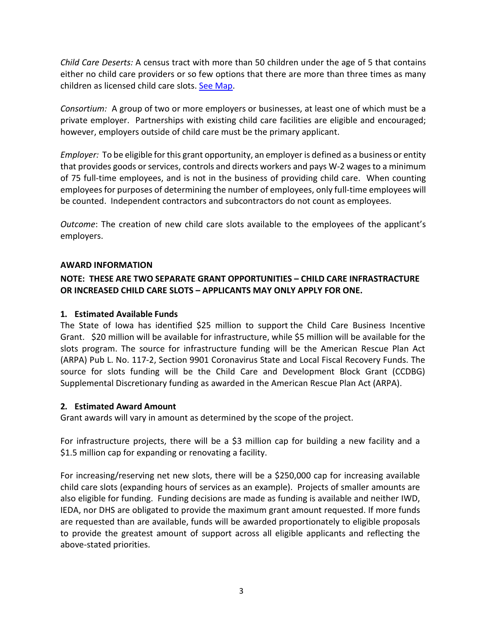*Child Care Deserts:* A census tract with more than 50 children under the age of 5 that contains either no child care providers or so few options that there are more than three times as many children as licensed child care slots. [See Map.](https://www.futurereadyiowa.gov/sites/fri/files/basic_page_files/Child%20Care%20Dessert%20with%20Child%20Care%20Awards%202021%20%26%202022%20%28Updated%2002-11-22%29.pdf)

*Consortium:* A group of two or more employers or businesses, at least one of which must be a private employer. Partnerships with existing child care facilities are eligible and encouraged; however, employers outside of child care must be the primary applicant.

*Employer:* To be eligible for this grant opportunity, an employer is defined as a business or entity that provides goods or services, controls and directs workers and pays W-2 wages to a minimum of 75 full-time employees, and is not in the business of providing child care. When counting employees for purposes of determining the number of employees, only full-time employees will be counted. Independent contractors and subcontractors do not count as employees.

*Outcome*: The creation of new child care slots available to the employees of the applicant's employers.

### **AWARD INFORMATION**

# **NOTE: THESE ARE TWO SEPARATE GRANT OPPORTUNITIES – CHILD CARE INFRASTRACTURE OR INCREASED CHILD CARE SLOTS – APPLICANTS MAY ONLY APPLY FOR ONE.**

### **1. Estimated Available Funds**

The State of Iowa has identified \$25 million to support the Child Care Business Incentive Grant. \$20 million will be available for infrastructure, while \$5 million will be available for the slots program. The source for infrastructure funding will be the American Rescue Plan Act (ARPA) Pub L. No. 117-2, Section 9901 Coronavirus State and Local Fiscal Recovery Funds. The source for slots funding will be the Child Care and Development Block Grant (CCDBG) Supplemental Discretionary funding as awarded in the American Rescue Plan Act (ARPA).

#### **2. Estimated Award Amount**

Grant awards will vary in amount as determined by the scope of the project.

For infrastructure projects, there will be a \$3 million cap for building a new facility and a \$1.5 million cap for expanding or renovating a facility.

For increasing/reserving net new slots, there will be a \$250,000 cap for increasing available child care slots (expanding hours of services as an example). Projects of smaller amounts are also eligible for funding. Funding decisions are made as funding is available and neither IWD, IEDA, nor DHS are obligated to provide the maximum grant amount requested. If more funds are requested than are available, funds will be awarded proportionately to eligible proposals to provide the greatest amount of support across all eligible applicants and reflecting the above-stated priorities.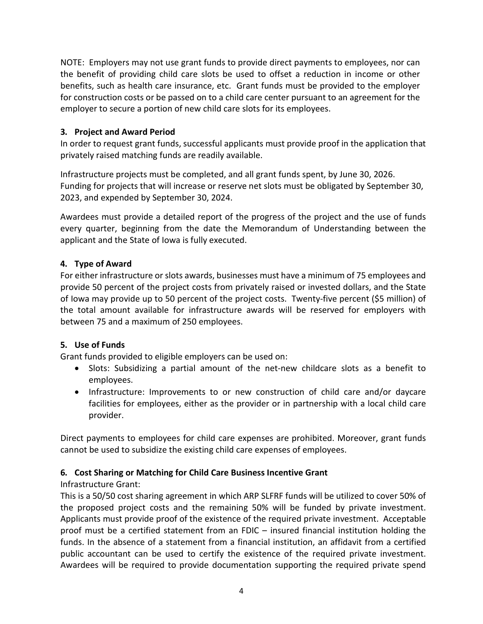NOTE: Employers may not use grant funds to provide direct payments to employees, nor can the benefit of providing child care slots be used to offset a reduction in income or other benefits, such as health care insurance, etc. Grant funds must be provided to the employer for construction costs or be passed on to a child care center pursuant to an agreement for the employer to secure a portion of new child care slots for its employees.

# **3. Project and Award Period**

In order to request grant funds, successful applicants must provide proof in the application that privately raised matching funds are readily available.

Infrastructure projects must be completed, and all grant funds spent, by June 30, 2026. Funding for projects that will increase or reserve net slots must be obligated by September 30, 2023, and expended by September 30, 2024.

Awardees must provide a detailed report of the progress of the project and the use of funds every quarter, beginning from the date the Memorandum of Understanding between the applicant and the State of Iowa is fully executed.

# **4. Type of Award**

For either infrastructure or slots awards, businesses must have a minimum of 75 employees and provide 50 percent of the project costs from privately raised or invested dollars, and the State of Iowa may provide up to 50 percent of the project costs. Twenty-five percent (\$5 million) of the total amount available for infrastructure awards will be reserved for employers with between 75 and a maximum of 250 employees.

# **5. Use of Funds**

Grant funds provided to eligible employers can be used on:

- Slots: Subsidizing a partial amount of the net-new childcare slots as a benefit to employees.
- Infrastructure: Improvements to or new construction of child care and/or daycare facilities for employees, either as the provider or in partnership with a local child care provider.

Direct payments to employees for child care expenses are prohibited. Moreover, grant funds cannot be used to subsidize the existing child care expenses of employees.

# **6. Cost Sharing or Matching for Child Care Business Incentive Grant**

# Infrastructure Grant:

This is a 50/50 cost sharing agreement in which ARP SLFRF funds will be utilized to cover 50% of the proposed project costs and the remaining 50% will be funded by private investment. Applicants must provide proof of the existence of the required private investment. Acceptable proof must be a certified statement from an FDIC – insured financial institution holding the funds. In the absence of a statement from a financial institution, an affidavit from a certified public accountant can be used to certify the existence of the required private investment. Awardees will be required to provide documentation supporting the required private spend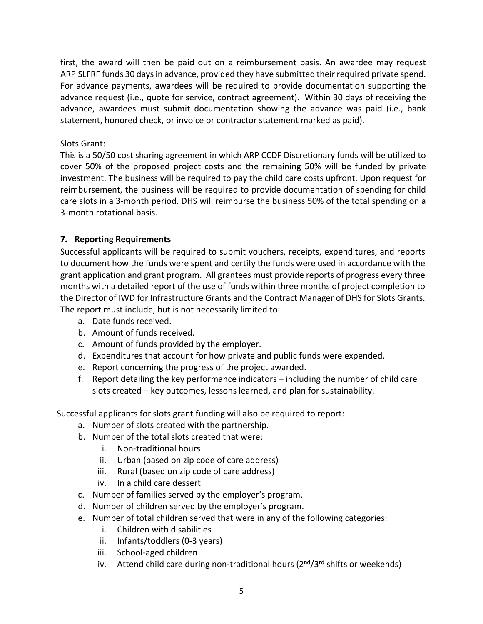first, the award will then be paid out on a reimbursement basis. An awardee may request ARP SLFRF funds 30 days in advance, provided they have submitted their required private spend. For advance payments, awardees will be required to provide documentation supporting the advance request (i.e., quote for service, contract agreement). Within 30 days of receiving the advance, awardees must submit documentation showing the advance was paid (i.e., bank statement, honored check, or invoice or contractor statement marked as paid).

### Slots Grant:

This is a 50/50 cost sharing agreement in which ARP CCDF Discretionary funds will be utilized to cover 50% of the proposed project costs and the remaining 50% will be funded by private investment. The business will be required to pay the child care costs upfront. Upon request for reimbursement, the business will be required to provide documentation of spending for child care slots in a 3-month period. DHS will reimburse the business 50% of the total spending on a 3-month rotational basis.

### **7. Reporting Requirements**

Successful applicants will be required to submit vouchers, receipts, expenditures, and reports to document how the funds were spent and certify the funds were used in accordance with the grant application and grant program. All grantees must provide reports of progress every three months with a detailed report of the use of funds within three months of project completion to the Director of IWD for Infrastructure Grants and the Contract Manager of DHS for Slots Grants. The report must include, but is not necessarily limited to:

- a. Date funds received.
- b. Amount of funds received.
- c. Amount of funds provided by the employer.
- d. Expenditures that account for how private and public funds were expended.
- e. Report concerning the progress of the project awarded.
- f. Report detailing the key performance indicators including the number of child care slots created – key outcomes, lessons learned, and plan for sustainability.

Successful applicants for slots grant funding will also be required to report:

- a. Number of slots created with the partnership.
- b. Number of the total slots created that were:
	- i. Non-traditional hours
	- ii. Urban (based on zip code of care address)
	- iii. Rural (based on zip code of care address)
	- iv. In a child care dessert
- c. Number of families served by the employer's program.
- d. Number of children served by the employer's program.
- e. Number of total children served that were in any of the following categories:
	- i. Children with disabilities
	- ii. Infants/toddlers (0-3 years)
	- iii. School-aged children
	- iv. Attend child care during non-traditional hours  $(2^{nd}/3^{rd}$  shifts or weekends)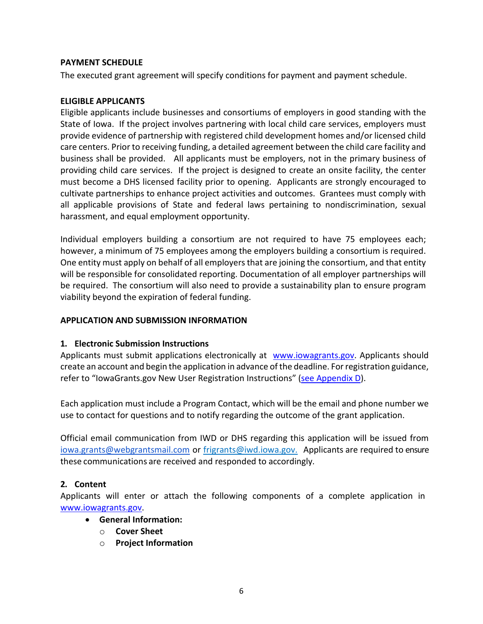### **PAYMENT SCHEDULE**

The executed grant agreement will specify conditions for payment and payment schedule.

### **ELIGIBLE APPLICANTS**

Eligible applicants include businesses and consortiums of employers in good standing with the State of Iowa. If the project involves partnering with local child care services, employers must provide evidence of partnership with registered child development homes and/or licensed child care centers. Prior to receiving funding, a detailed agreement between the child care facility and business shall be provided. All applicants must be employers, not in the primary business of providing child care services. If the project is designed to create an onsite facility, the center must become a DHS licensed facility prior to opening. Applicants are strongly encouraged to cultivate partnerships to enhance project activities and outcomes. Grantees must comply with all applicable provisions of State and federal laws pertaining to nondiscrimination, sexual harassment, and equal employment opportunity.

Individual employers building a consortium are not required to have 75 employees each; however, a minimum of 75 employees among the employers building a consortium is required. One entity must apply on behalf of all employers that are joining the consortium, and that entity will be responsible for consolidated reporting. Documentation of all employer partnerships will be required. The consortium will also need to provide a sustainability plan to ensure program viability beyond the expiration of federal funding.

### **APPLICATION AND SUBMISSION INFORMATION**

### **1. Electronic Submission Instructions**

Applicants must submit applications electronically at [www.iowagrants.gov.](http://www.iowagrants.gov/) Applicants should create an account and begin the application in advance of the deadline. For registration guidance, refer to "IowaGrants.gov New User Registration Instructions" [\(see Appendix D\)](https://www.futurereadyiowa.gov/sites/fri/files/basic_page_files/Appendix%20D_Directions%20for%20New%20Users%20on%20IowaGrants.gov_2022%20Child%20Care%20Business%20Incentive%20Grant_0.pdf).

Each application must include a Program Contact, which will be the email and phone number we use to contact for questions and to notify regarding the outcome of the grant application.

Official email communication from IWD or DHS regarding this application will be issued from iowa.grants@webgrantsmail.com or [frigrants@iwd.iowa.gov.](mailto:frigrants@iwd.iowa.gov) Applicants are required to ensure these communications are received and responded to accordingly.

### **2. Content**

Applicants will enter or attach the following components of a complete application in [www.iowagrants.gov.](http://www.iowagrants.gov/)

- **General Information:** 
	- o **Cover Sheet**
	- o **Project Information**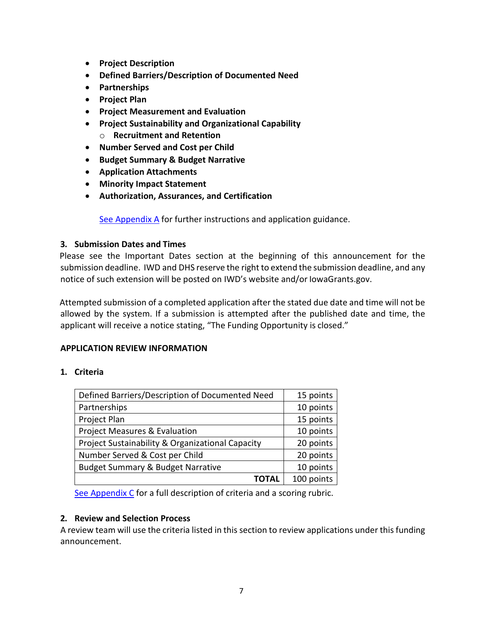- **Project Description**
- **Defined Barriers/Description of Documented Need**
- **Partnerships**
- **Project Plan**
- **Project Measurement and Evaluation**
- **Project Sustainability and Organizational Capability**
	- o **Recruitment and Retention**
- **Number Served and Cost per Child**
- **Budget Summary & Budget Narrative**
- **Application Attachments**
- **Minority Impact Statement**
- **Authorization, Assurances, and Certification**

[See Appendix A](https://www.futurereadyiowa.gov/sites/fri/files/basic_page_files/Appendix%20A_Grant%20Guidance_2022%20Child%20Care%20Business%20Incentive%20Grant_1.pdf) for further instructions and application guidance.

# **3. Submission Dates and Times**

Please see the Important Dates section at the beginning of this announcement for the submission deadline. IWD and DHS reserve the right to extend the submission deadline, and any notice of such extension will be posted on IWD's website and/or IowaGrants.gov.

Attempted submission of a completed application after the stated due date and time will not be allowed by the system. If a submission is attempted after the published date and time, the applicant will receive a notice stating, "The Funding Opportunity is closed."

# **APPLICATION REVIEW INFORMATION**

# **1. Criteria**

| Defined Barriers/Description of Documented Need  | 15 points  |
|--------------------------------------------------|------------|
| Partnerships                                     | 10 points  |
| Project Plan                                     | 15 points  |
| Project Measures & Evaluation                    | 10 points  |
| Project Sustainability & Organizational Capacity | 20 points  |
| Number Served & Cost per Child                   | 20 points  |
| <b>Budget Summary &amp; Budget Narrative</b>     | 10 points  |
| ΤΟΤΑΙ                                            | 100 points |

[See Appendix C](https://www.futurereadyiowa.gov/sites/fri/files/basic_page_files/Appendix%20C_Grant%20Application%20Scoring%20Rubric_2022%20Child%20Care%20Business%20Incentive%20Grant_0.pdf) for a full description of criteria and a scoring rubric.

# **2. Review and Selection Process**

A review team will use the criteria listed in this section to review applications under this funding announcement.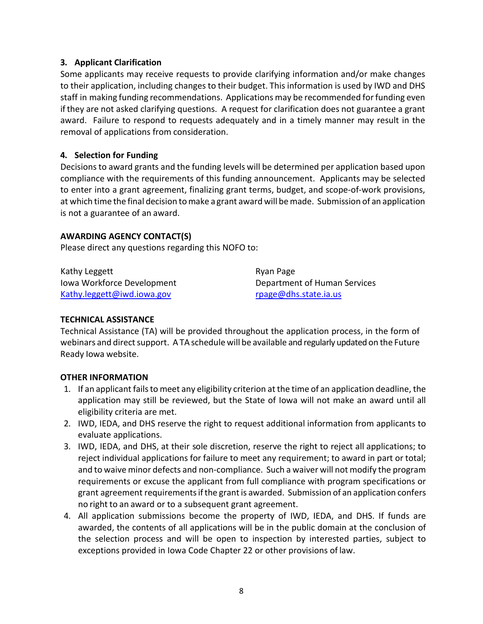### **3. Applicant Clarification**

Some applicants may receive requests to provide clarifying information and/or make changes to their application, including changes to their budget. This information is used by IWD and DHS staff in making funding recommendations. Applications may be recommended forfunding even ifthey are not asked clarifying questions. A request for clarification does not guarantee a grant award. Failure to respond to requests adequately and in a timely manner may result in the removal of applications from consideration.

### **4. Selection for Funding**

Decisionsto award grants and the funding levels will be determined per application based upon compliance with the requirements of this funding announcement. Applicants may be selected to enter into a grant agreement, finalizing grant terms, budget, and scope-of-work provisions, at which time the final decision tomake a grant award will bemade. Submission of an application is not a guarantee of an award.

### **AWARDING AGENCY CONTACT(S)**

Please direct any questions regarding this NOFO to:

| Kathy Leggett              | Ryan Page                    |
|----------------------------|------------------------------|
| Iowa Workforce Development | Department of Human Services |
| Kathy.leggett@iwd.iowa.gov | rpage@dhs.state.ia.us        |

### **TECHNICAL ASSISTANCE**

Technical Assistance (TA) will be provided throughout the application process, in the form of webinars and direct support. A TA schedule will be available and regularly updated on the Future Ready Iowa website.

### **OTHER INFORMATION**

- 1. If an applicant failsto meet any eligibility criterion at the time of an application deadline, the application may still be reviewed, but the State of Iowa will not make an award until all eligibility criteria are met.
- 2. IWD, IEDA, and DHS reserve the right to request additional information from applicants to evaluate applications.
- 3. IWD, IEDA, and DHS, at their sole discretion, reserve the right to reject all applications; to reject individual applications for failure to meet any requirement; to award in part or total; and to waive minor defects and non-compliance. Such a waiver will not modify the program requirements or excuse the applicant from full compliance with program specifications or grant agreement requirementsifthe grantis awarded. Submission of an application confers no right to an award or to a subsequent grant agreement.
- 4. All application submissions become the property of IWD, IEDA, and DHS. If funds are awarded, the contents of all applications will be in the public domain at the conclusion of the selection process and will be open to inspection by interested parties, subject to exceptions provided in Iowa Code Chapter 22 or other provisions of law.